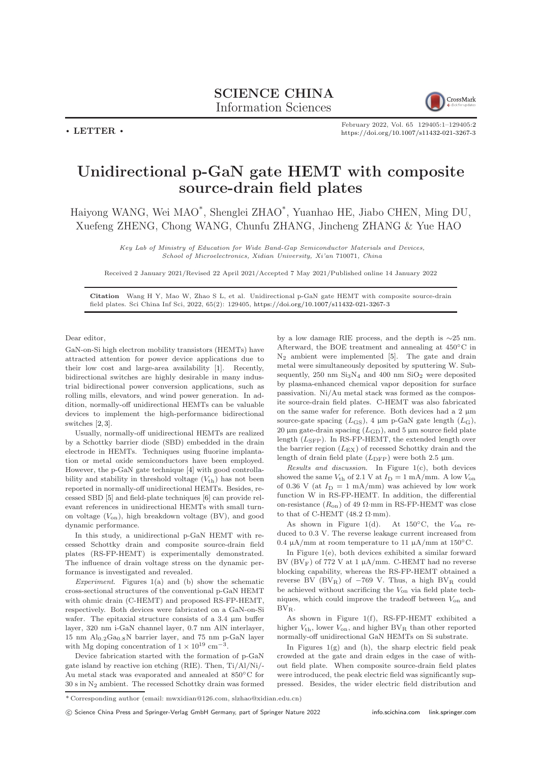$\cdot$  LETTER  $\cdot$ 



February 2022, Vol. 65 129405:1–129405[:2](#page-1-0) <https://doi.org/10.1007/s11432-021-3267-3>

## Unidirectional p-GaN gate HEMT with composite source-drain field plates

Haiyong WANG, Wei MAO\* , Shenglei ZHAO\* , Yuanhao HE, Jiabo CHEN, Ming DU, Xuefeng ZHENG, Chong WANG, Chunfu ZHANG, Jincheng ZHANG & Yue HAO

> Key Lab of Ministry of Education for Wide Band-Gap Semiconductor Materials and Devices, School of Microelectronics, Xidian University, Xi'an 710071, China

Received 2 January 2021/Revised 22 April 2021/Accepted 7 May 2021/Published online 14 January 2022

Citation Wang H Y, Mao W, Zhao S L, et al. Unidirectional p-GaN gate HEMT with composite source-drain field plates. Sci China Inf Sci, 2022, 65(2): 129405, <https://doi.org/10.1007/s11432-021-3267-3>

Dear editor,

GaN-on-Si high electron mobility transistors (HEMTs) have attracted attention for power device applications due to their low cost and large-area availability [\[1\]](#page-1-1). Recently, bidirectional switches are highly desirable in many industrial bidirectional power conversion applications, such as rolling mills, elevators, and wind power generation. In addition, normally-off unidirectional HEMTs can be valuable devices to implement the high-performance bidirectional switches [\[2,](#page-1-2) [3\]](#page-1-3).

Usually, normally-off unidirectional HEMTs are realized by a Schottky barrier diode (SBD) embedded in the drain electrode in HEMTs. Techniques using fluorine implantation or metal oxide semiconductors have been employed. However, the p-GaN gate technique [\[4\]](#page-1-4) with good controllability and stability in threshold voltage  $(V_{th})$  has not been reported in normally-off unidirectional HEMTs. Besides, recessed SBD [\[5\]](#page-1-5) and field-plate techniques [\[6\]](#page-1-6) can provide relevant references in unidirectional HEMTs with small turnon voltage  $(V_{on})$ , high breakdown voltage (BV), and good dynamic performance.

In this study, a unidirectional p-GaN HEMT with recessed Schottky drain and composite source-drain field plates (RS-FP-HEMT) is experimentally demonstrated. The influence of drain voltage stress on the dynamic performance is investigated and revealed.

Experiment. Figures  $1(a)$  and (b) show the schematic cross-sectional structures of the conventional p-GaN HEMT with ohmic drain (C-HEMT) and proposed RS-FP-HEMT, respectively. Both devices were fabricated on a GaN-on-Si wafer. The epitaxial structure consists of a 3.4 µm buffer layer, 320 nm i-GaN channel layer, 0.7 nm AlN interlayer,  $15$  nm  $\mathrm{Al}_{0.2}\mathrm{Ga}_{0.8}\mathrm{N}$  barrier layer, and  $75$  nm p-GaN layer with Mg doping concentration of  $1 \times 10^{19}$  cm<sup>-3</sup> .

Device fabrication started with the formation of p-GaN gate island by reactive ion etching (RIE). Then, Ti/Al/Ni/- Au metal stack was evaporated and annealed at 850◦C for 30 s in N2 ambient. The recessed Schottky drain was formed by a low damage RIE process, and the depth is ∼25 nm. Afterward, the BOE treatment and annealing at 450◦C in  $N_2$  ambient were implemented [\[5\]](#page-1-5). The gate and drain metal were simultaneously deposited by sputtering W. Subsequently, 250 nm  $Si<sub>3</sub>N<sub>4</sub>$  and 400 nm  $SiO<sub>2</sub>$  were deposited by plasma-enhanced chemical vapor deposition for surface passivation. Ni/Au metal stack was formed as the composite source-drain field plates. C-HEMT was also fabricated on the same wafer for reference. Both devices had a 2 µm source-gate spacing  $(L_{\text{GS}})$ , 4  $\mu$ m p-GaN gate length  $(L_{\text{G}})$ , 20  $\mu$ m gate-drain spacing ( $L_{\text{GD}}$ ), and 5  $\mu$ m source field plate length  $(L_{\rm SFP})$ . In RS-FP-HEMT, the extended length over the barrier region  $(L_{EX})$  of recessed Schottky drain and the length of drain field plate  $(L_{\text{DFP}})$  were both 2.5  $\mu$ m.

Results and discussion. In Figure 1(c), both devices showed the same  $V_{\rm th}$  of 2.1 V at  $I_{\rm D} = 1$  mA/mm. A low  $V_{\rm on}$ of 0.36 V (at  $I_D = 1$  mA/mm) was achieved by low work function W in RS-FP-HEMT. In addition, the differential on-resistance  $(R_{on})$  of 49  $\Omega$ ·mm in RS-FP-HEMT was close to that of C-HEMT (48.2  $\Omega$ ·mm).

As shown in Figure 1(d). At  $150^{\circ}$ C, the  $V_{on}$  reduced to 0.3 V. The reverse leakage current increased from 0.4  $\mu$ A/mm at room temperature to 11  $\mu$ A/mm at 150 $\degree$ C.

In Figure 1(e), both devices exhibited a similar forward BV ( $BV_F$ ) of 772 V at 1  $\mu$ A/mm. C-HEMT had no reverse blocking capability, whereas the RS-FP-HEMT obtained a reverse BV ( $BV_R$ ) of  $-769$  V. Thus, a high  $BV_R$  could be achieved without sacrificing the  $V_{on}$  via field plate techniques, which could improve the tradeoff between  $V_{on}$  and BV<sub>R</sub>.

As shown in Figure 1(f), RS-FP-HEMT exhibited a higher  $V_{\text{th}}$ , lower  $V_{\text{on}}$ , and higher  $BV_R$  than other reported normally-off unidirectional GaN HEMTs on Si substrate.

In Figures  $1(g)$  and  $(h)$ , the sharp electric field peak crowded at the gate and drain edges in the case of without field plate. When composite source-drain field plates were introduced, the peak electric field was significantly suppressed. Besides, the wider electric field distribution and

 $^\ast$  Corresponding author (email: mwxidian@126.com, slzhao@xidian.edu.cn)

c Science China Press and Springer-Verlag GmbH Germany, part of Springer Nature 2022 <info.scichina.com><link.springer.com>